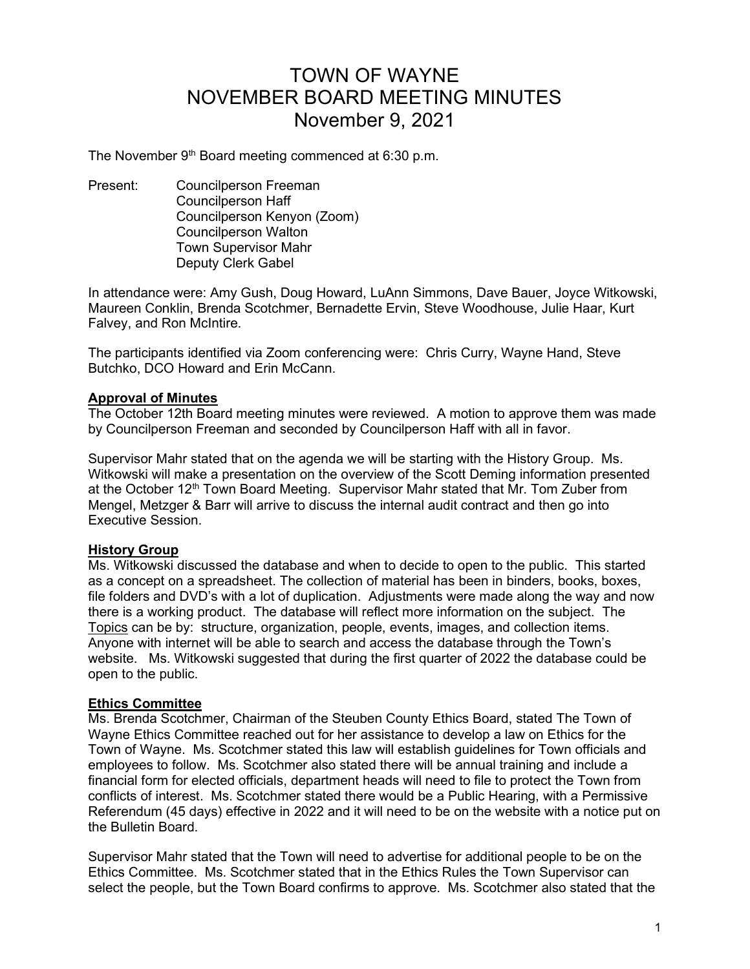# TOWN OF WAYNE NOVEMBER BOARD MEETING MINUTES November 9, 2021

The November  $9<sup>th</sup>$  Board meeting commenced at 6:30 p.m.

Present: Councilperson Freeman Councilperson Haff Councilperson Kenyon (Zoom) Councilperson Walton Town Supervisor Mahr Deputy Clerk Gabel

In attendance were: Amy Gush, Doug Howard, LuAnn Simmons, Dave Bauer, Joyce Witkowski, Maureen Conklin, Brenda Scotchmer, Bernadette Ervin, Steve Woodhouse, Julie Haar, Kurt Falvey, and Ron McIntire.

The participants identified via Zoom conferencing were: Chris Curry, Wayne Hand, Steve Butchko, DCO Howard and Erin McCann.

## Approval of Minutes

The October 12th Board meeting minutes were reviewed. A motion to approve them was made by Councilperson Freeman and seconded by Councilperson Haff with all in favor.

Supervisor Mahr stated that on the agenda we will be starting with the History Group. Ms. Witkowski will make a presentation on the overview of the Scott Deming information presented at the October 12<sup>th</sup> Town Board Meeting. Supervisor Mahr stated that Mr. Tom Zuber from Mengel, Metzger & Barr will arrive to discuss the internal audit contract and then go into Executive Session.

## History Group

Ms. Witkowski discussed the database and when to decide to open to the public. This started as a concept on a spreadsheet. The collection of material has been in binders, books, boxes, file folders and DVD's with a lot of duplication. Adjustments were made along the way and now there is a working product. The database will reflect more information on the subject. The Topics can be by: structure, organization, people, events, images, and collection items. Anyone with internet will be able to search and access the database through the Town's website. Ms. Witkowski suggested that during the first quarter of 2022 the database could be open to the public.

#### Ethics Committee

Ms. Brenda Scotchmer, Chairman of the Steuben County Ethics Board, stated The Town of Wayne Ethics Committee reached out for her assistance to develop a law on Ethics for the Town of Wayne. Ms. Scotchmer stated this law will establish guidelines for Town officials and employees to follow. Ms. Scotchmer also stated there will be annual training and include a financial form for elected officials, department heads will need to file to protect the Town from conflicts of interest. Ms. Scotchmer stated there would be a Public Hearing, with a Permissive Referendum (45 days) effective in 2022 and it will need to be on the website with a notice put on the Bulletin Board.

Supervisor Mahr stated that the Town will need to advertise for additional people to be on the Ethics Committee. Ms. Scotchmer stated that in the Ethics Rules the Town Supervisor can select the people, but the Town Board confirms to approve. Ms. Scotchmer also stated that the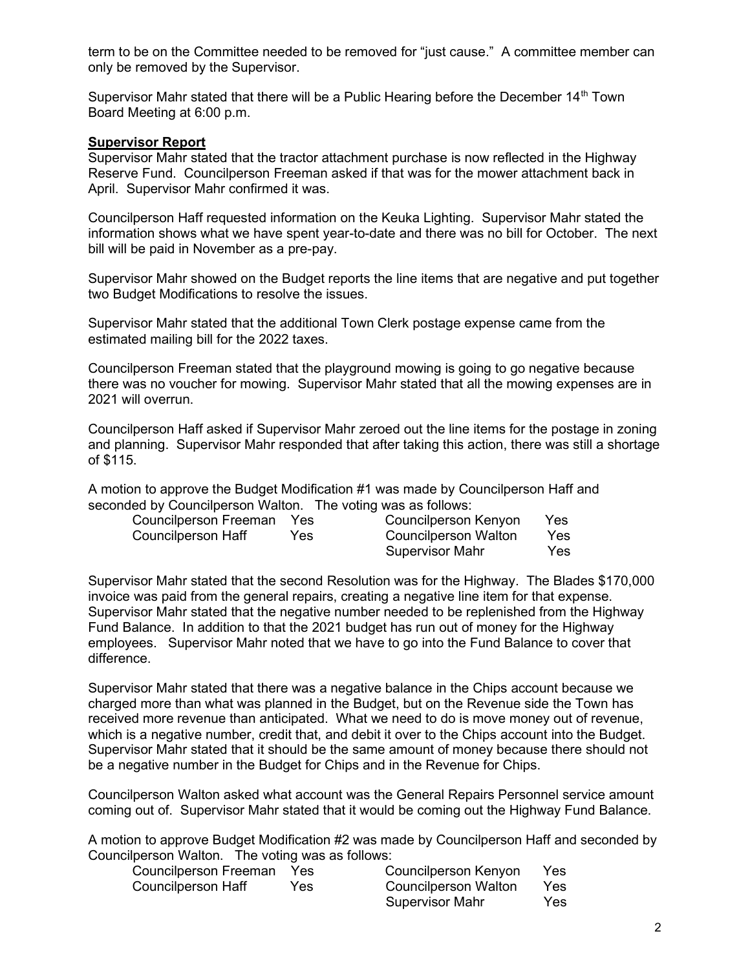term to be on the Committee needed to be removed for "just cause." A committee member can only be removed by the Supervisor.

Supervisor Mahr stated that there will be a Public Hearing before the December 14<sup>th</sup> Town Board Meeting at 6:00 p.m.

### **Supervisor Report**

Supervisor Mahr stated that the tractor attachment purchase is now reflected in the Highway Reserve Fund. Councilperson Freeman asked if that was for the mower attachment back in April. Supervisor Mahr confirmed it was.

Councilperson Haff requested information on the Keuka Lighting. Supervisor Mahr stated the information shows what we have spent year-to-date and there was no bill for October. The next bill will be paid in November as a pre-pay.

Supervisor Mahr showed on the Budget reports the line items that are negative and put together two Budget Modifications to resolve the issues.

Supervisor Mahr stated that the additional Town Clerk postage expense came from the estimated mailing bill for the 2022 taxes.

Councilperson Freeman stated that the playground mowing is going to go negative because there was no voucher for mowing. Supervisor Mahr stated that all the mowing expenses are in 2021 will overrun.

Councilperson Haff asked if Supervisor Mahr zeroed out the line items for the postage in zoning and planning. Supervisor Mahr responded that after taking this action, there was still a shortage of \$115.

A motion to approve the Budget Modification #1 was made by Councilperson Haff and seconded by Councilperson Walton. The voting was as follows:

| Councilperson Freeman | <b>Yes</b> | Councilperson Kenyon        | Yes |
|-----------------------|------------|-----------------------------|-----|
| Councilperson Haff    | Yes.       | <b>Councilperson Walton</b> | Yes |
|                       |            | Supervisor Mahr             | Yes |

Supervisor Mahr stated that the second Resolution was for the Highway. The Blades \$170,000 invoice was paid from the general repairs, creating a negative line item for that expense. Supervisor Mahr stated that the negative number needed to be replenished from the Highway Fund Balance. In addition to that the 2021 budget has run out of money for the Highway employees. Supervisor Mahr noted that we have to go into the Fund Balance to cover that difference.

Supervisor Mahr stated that there was a negative balance in the Chips account because we charged more than what was planned in the Budget, but on the Revenue side the Town has received more revenue than anticipated. What we need to do is move money out of revenue, which is a negative number, credit that, and debit it over to the Chips account into the Budget. Supervisor Mahr stated that it should be the same amount of money because there should not be a negative number in the Budget for Chips and in the Revenue for Chips.

Councilperson Walton asked what account was the General Repairs Personnel service amount coming out of. Supervisor Mahr stated that it would be coming out the Highway Fund Balance.

A motion to approve Budget Modification #2 was made by Councilperson Haff and seconded by Councilperson Walton. The voting was as follows:

| Councilperson Freeman Yes |     | Councilperson Kenyon | Yes  |
|---------------------------|-----|----------------------|------|
| Councilperson Haff        | Yes | Councilperson Walton | Yes. |
|                           |     | Supervisor Mahr      | Yes. |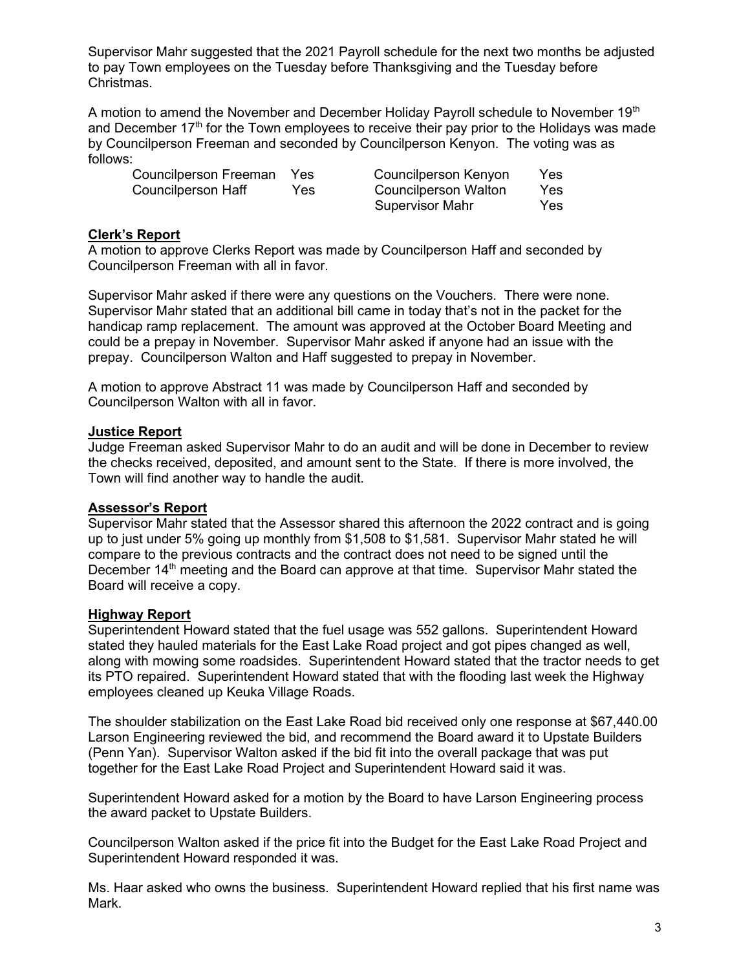Supervisor Mahr suggested that the 2021 Payroll schedule for the next two months be adjusted to pay Town employees on the Tuesday before Thanksgiving and the Tuesday before Christmas.

A motion to amend the November and December Holiday Payroll schedule to November 19<sup>th</sup> and December  $17<sup>th</sup>$  for the Town employees to receive their pay prior to the Holidays was made by Councilperson Freeman and seconded by Councilperson Kenyon. The voting was as follows:

| Councilperson Freeman | Yes. | Councilperson Kenyon   | Yes |
|-----------------------|------|------------------------|-----|
| Councilperson Haff    | Yes. | Councilperson Walton   | Yes |
|                       |      | <b>Supervisor Mahr</b> | Yes |

## Clerk's Report

A motion to approve Clerks Report was made by Councilperson Haff and seconded by Councilperson Freeman with all in favor.

Supervisor Mahr asked if there were any questions on the Vouchers. There were none. Supervisor Mahr stated that an additional bill came in today that's not in the packet for the handicap ramp replacement. The amount was approved at the October Board Meeting and could be a prepay in November. Supervisor Mahr asked if anyone had an issue with the prepay. Councilperson Walton and Haff suggested to prepay in November.

A motion to approve Abstract 11 was made by Councilperson Haff and seconded by Councilperson Walton with all in favor.

## Justice Report

Judge Freeman asked Supervisor Mahr to do an audit and will be done in December to review the checks received, deposited, and amount sent to the State. If there is more involved, the Town will find another way to handle the audit.

## Assessor's Report

Supervisor Mahr stated that the Assessor shared this afternoon the 2022 contract and is going up to just under 5% going up monthly from \$1,508 to \$1,581. Supervisor Mahr stated he will compare to the previous contracts and the contract does not need to be signed until the December 14<sup>th</sup> meeting and the Board can approve at that time. Supervisor Mahr stated the Board will receive a copy.

#### Highway Report

Superintendent Howard stated that the fuel usage was 552 gallons. Superintendent Howard stated they hauled materials for the East Lake Road project and got pipes changed as well, along with mowing some roadsides. Superintendent Howard stated that the tractor needs to get its PTO repaired. Superintendent Howard stated that with the flooding last week the Highway employees cleaned up Keuka Village Roads.

The shoulder stabilization on the East Lake Road bid received only one response at \$67,440.00 Larson Engineering reviewed the bid, and recommend the Board award it to Upstate Builders (Penn Yan). Supervisor Walton asked if the bid fit into the overall package that was put together for the East Lake Road Project and Superintendent Howard said it was.

Superintendent Howard asked for a motion by the Board to have Larson Engineering process the award packet to Upstate Builders.

Councilperson Walton asked if the price fit into the Budget for the East Lake Road Project and Superintendent Howard responded it was.

Ms. Haar asked who owns the business. Superintendent Howard replied that his first name was Mark.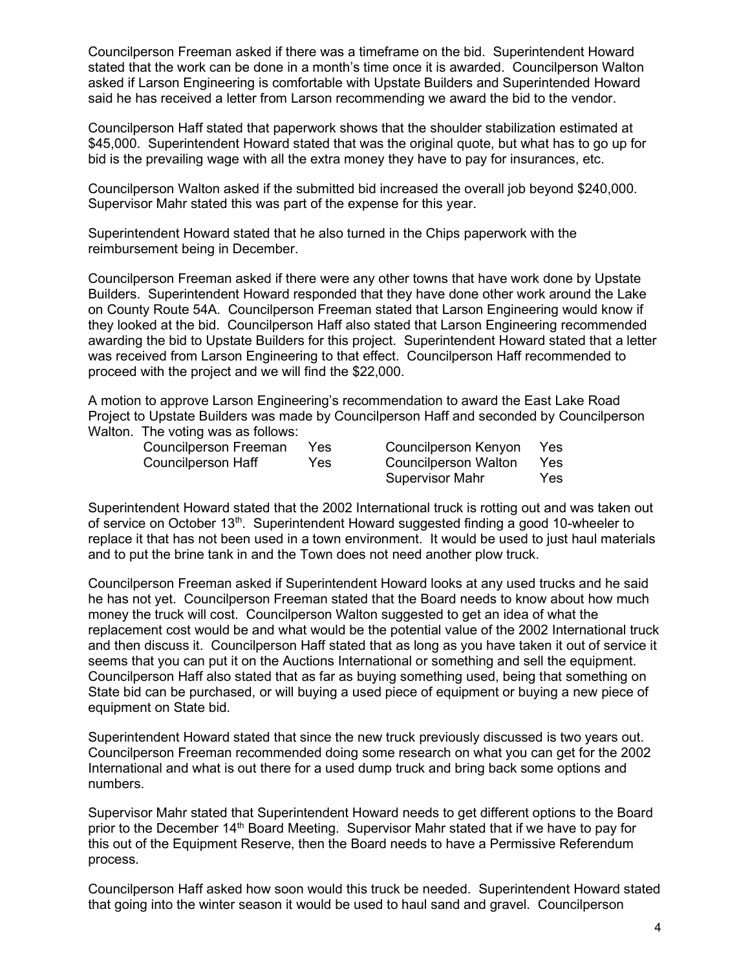Councilperson Freeman asked if there was a timeframe on the bid. Superintendent Howard stated that the work can be done in a month's time once it is awarded. Councilperson Walton asked if Larson Engineering is comfortable with Upstate Builders and Superintended Howard said he has received a letter from Larson recommending we award the bid to the vendor.

Councilperson Haff stated that paperwork shows that the shoulder stabilization estimated at \$45,000. Superintendent Howard stated that was the original quote, but what has to go up for bid is the prevailing wage with all the extra money they have to pay for insurances, etc.

Councilperson Walton asked if the submitted bid increased the overall job beyond \$240,000. Supervisor Mahr stated this was part of the expense for this year.

Superintendent Howard stated that he also turned in the Chips paperwork with the reimbursement being in December.

Councilperson Freeman asked if there were any other towns that have work done by Upstate Builders. Superintendent Howard responded that they have done other work around the Lake on County Route 54A. Councilperson Freeman stated that Larson Engineering would know if they looked at the bid. Councilperson Haff also stated that Larson Engineering recommended awarding the bid to Upstate Builders for this project. Superintendent Howard stated that a letter was received from Larson Engineering to that effect. Councilperson Haff recommended to proceed with the project and we will find the \$22,000.

A motion to approve Larson Engineering's recommendation to award the East Lake Road Project to Upstate Builders was made by Councilperson Haff and seconded by Councilperson Walton. The voting was as follows:

| <b>Councilperson Freeman</b> | Yes | Councilperson Kenyon | Yes  |
|------------------------------|-----|----------------------|------|
| Councilperson Haff           | Yes | Councilperson Walton | Yes. |
|                              |     | Supervisor Mahr      | Yes: |

Superintendent Howard stated that the 2002 International truck is rotting out and was taken out of service on October  $13<sup>th</sup>$ . Superintendent Howard suggested finding a good 10-wheeler to replace it that has not been used in a town environment. It would be used to just haul materials and to put the brine tank in and the Town does not need another plow truck.

Councilperson Freeman asked if Superintendent Howard looks at any used trucks and he said he has not yet. Councilperson Freeman stated that the Board needs to know about how much money the truck will cost. Councilperson Walton suggested to get an idea of what the replacement cost would be and what would be the potential value of the 2002 International truck and then discuss it. Councilperson Haff stated that as long as you have taken it out of service it seems that you can put it on the Auctions International or something and sell the equipment. Councilperson Haff also stated that as far as buying something used, being that something on State bid can be purchased, or will buying a used piece of equipment or buying a new piece of equipment on State bid.

Superintendent Howard stated that since the new truck previously discussed is two years out. Councilperson Freeman recommended doing some research on what you can get for the 2002 International and what is out there for a used dump truck and bring back some options and numbers.

Supervisor Mahr stated that Superintendent Howard needs to get different options to the Board prior to the December 14<sup>th</sup> Board Meeting. Supervisor Mahr stated that if we have to pay for this out of the Equipment Reserve, then the Board needs to have a Permissive Referendum process.

Councilperson Haff asked how soon would this truck be needed. Superintendent Howard stated that going into the winter season it would be used to haul sand and gravel. Councilperson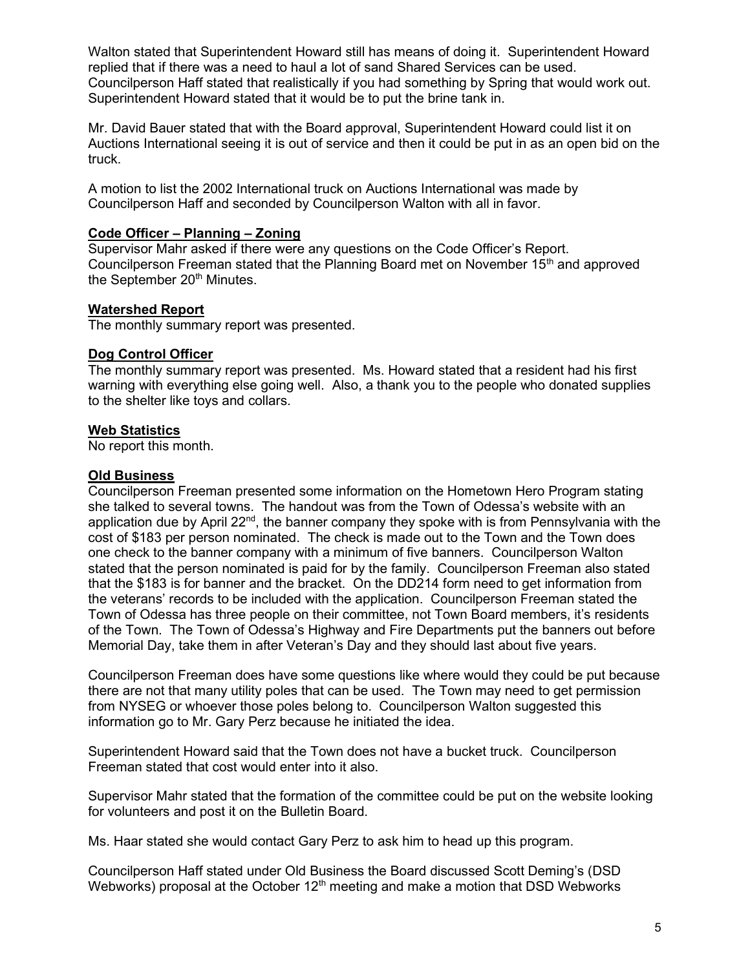Walton stated that Superintendent Howard still has means of doing it. Superintendent Howard replied that if there was a need to haul a lot of sand Shared Services can be used. Councilperson Haff stated that realistically if you had something by Spring that would work out. Superintendent Howard stated that it would be to put the brine tank in.

Mr. David Bauer stated that with the Board approval, Superintendent Howard could list it on Auctions International seeing it is out of service and then it could be put in as an open bid on the truck.

A motion to list the 2002 International truck on Auctions International was made by Councilperson Haff and seconded by Councilperson Walton with all in favor.

## Code Officer – Planning – Zoning

Supervisor Mahr asked if there were any questions on the Code Officer's Report. Councilperson Freeman stated that the Planning Board met on November 15<sup>th</sup> and approved the September 20<sup>th</sup> Minutes.

## Watershed Report

The monthly summary report was presented.

## Dog Control Officer

The monthly summary report was presented. Ms. Howard stated that a resident had his first warning with everything else going well. Also, a thank you to the people who donated supplies to the shelter like toys and collars.

## **Web Statistics**

No report this month.

## **Old Business**

Councilperson Freeman presented some information on the Hometown Hero Program stating she talked to several towns. The handout was from the Town of Odessa's website with an application due by April  $22<sup>nd</sup>$ , the banner company they spoke with is from Pennsylvania with the cost of \$183 per person nominated. The check is made out to the Town and the Town does one check to the banner company with a minimum of five banners. Councilperson Walton stated that the person nominated is paid for by the family. Councilperson Freeman also stated that the \$183 is for banner and the bracket. On the DD214 form need to get information from the veterans' records to be included with the application. Councilperson Freeman stated the Town of Odessa has three people on their committee, not Town Board members, it's residents of the Town. The Town of Odessa's Highway and Fire Departments put the banners out before Memorial Day, take them in after Veteran's Day and they should last about five years.

Councilperson Freeman does have some questions like where would they could be put because there are not that many utility poles that can be used. The Town may need to get permission from NYSEG or whoever those poles belong to. Councilperson Walton suggested this information go to Mr. Gary Perz because he initiated the idea.

Superintendent Howard said that the Town does not have a bucket truck. Councilperson Freeman stated that cost would enter into it also.

Supervisor Mahr stated that the formation of the committee could be put on the website looking for volunteers and post it on the Bulletin Board.

Ms. Haar stated she would contact Gary Perz to ask him to head up this program.

Councilperson Haff stated under Old Business the Board discussed Scott Deming's (DSD Webworks) proposal at the October  $12<sup>th</sup>$  meeting and make a motion that DSD Webworks